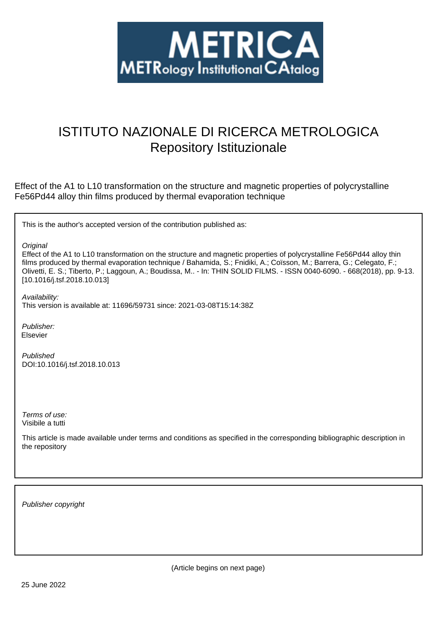

# ISTITUTO NAZIONALE DI RICERCA METROLOGICA Repository Istituzionale

Effect of the A1 to L10 transformation on the structure and magnetic properties of polycrystalline Fe56Pd44 alloy thin films produced by thermal evaporation technique

This is the author's accepted version of the contribution published as:

**Original** 

Effect of the A1 to L10 transformation on the structure and magnetic properties of polycrystalline Fe56Pd44 alloy thin films produced by thermal evaporation technique / Bahamida, S.; Fnidiki, A.; Coïsson, M.; Barrera, G.; Celegato, F.; Olivetti, E. S.; Tiberto, P.; Laggoun, A.; Boudissa, M.. - In: THIN SOLID FILMS. - ISSN 0040-6090. - 668(2018), pp. 9-13. [10.1016/j.tsf.2018.10.013]

Availability:

This version is available at: 11696/59731 since: 2021-03-08T15:14:38Z

Publisher: Elsevier

Published DOI:10.1016/j.tsf.2018.10.013

Terms of use: Visibile a tutti

This article is made available under terms and conditions as specified in the corresponding bibliographic description in the repository

Publisher copyright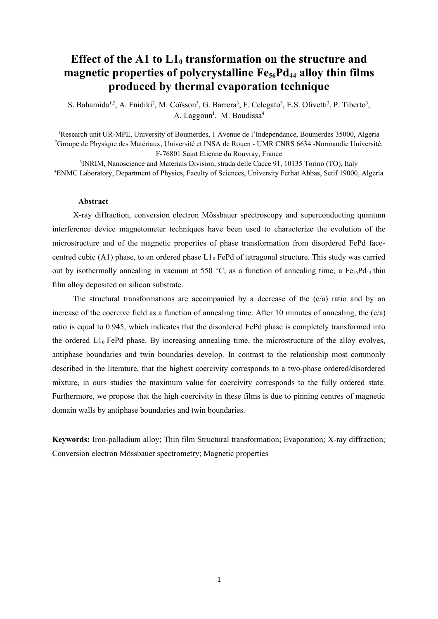# **Effect of the A1 to L10 transformation on the structure and magnetic properties of polycrystalline Fe56Pd44 alloy thin films produced by thermal evaporation technique**

S. Bahamida<sup>1,2</sup>, A. Fnidiki<sup>2</sup>, M. Coïsson<sup>3</sup>, G. Barrera<sup>3</sup>, F. Celegato<sup>3</sup>, E.S. Olivetti<sup>3</sup>, P. Tiberto<sup>3</sup>, A. Laggoun<sup>1</sup>, M. Boudissa<sup>4</sup>

<sup>1</sup>Research unit UR-MPE, University of Boumerdes, 1 Avenue de l'Independance, Boumerdes 35000, Algeria <sup>2</sup>Groupe de Physique des Matériaux, Université et INSA de Rouen - UMR CNRS 6634 -Normandie Université. F-76801 Saint Etienne du Rouvray, France

3 INRIM, Nanoscience and Materials Division, strada delle Cacce 91, 10135 Torino (TO), Italy <sup>4</sup>ENMC Laboratory, Department of Physics, Faculty of Sciences, University Ferhat Abbas, Setif 19000, Algeria

### **Abstract**

X-ray diffraction, conversion electron Mössbauer spectroscopy and superconducting quantum interference device magnetometer techniques have been used to characterize the evolution of the microstructure and of the magnetic properties of phase transformation from disordered FePd facecentred cubic (A1) phase, to an ordered phase  $L1_0$  FePd of tetragonal structure. This study was carried out by isothermally annealing in vacuum at 550 °C, as a function of annealing time, a Fe<sub>56</sub>Pd<sub>44</sub> thin film alloy deposited on silicon substrate.

The structural transformations are accompanied by a decrease of the (c/a) ratio and by an increase of the coercive field as a function of annealing time. After 10 minutes of annealing, the  $(c/a)$ ratio is equal to 0.945, which indicates that the disordered FePd phase is completely transformed into the ordered  $L1_0$  FePd phase. By increasing annealing time, the microstructure of the alloy evolves, antiphase boundaries and twin boundaries develop. In contrast to the relationship most commonly described in the literature, that the highest coercivity corresponds to a two-phase ordered/disordered mixture, in ours studies the maximum value for coercivity corresponds to the fully ordered state. Furthermore, we propose that the high coercivity in these films is due to pinning centres of magnetic domain walls by antiphase boundaries and twin boundaries.

**Keywords:** Iron-palladium alloy; Thin film Structural transformation; Evaporation; X-ray diffraction; Conversion electron Mössbauer spectrometry; Magnetic properties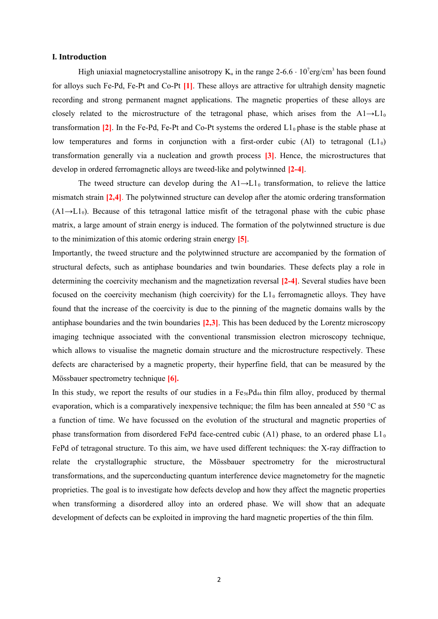# **I. Introduction**

High uniaxial magnetocrystalline anisotropy  $K_u$  in the range 2-6.6  $\cdot$  10<sup>7</sup>erg/cm<sup>3</sup> has been found for alloys such Fe-Pd, Fe-Pt and Co-Pt **[1]**. These alloys are attractive for ultrahigh density magnetic recording and strong permanent magnet applications. The magnetic properties of these alloys are closely related to the microstructure of the tetragonal phase, which arises from the  $A1 \rightarrow L1_0$ transformation  $[2]$ . In the Fe-Pd, Fe-Pt and Co-Pt systems the ordered  $L_0$  phase is the stable phase at low temperatures and forms in conjunction with a first-order cubic (Al) to tetragonal  $(L1_0)$ transformation generally via a nucleation and growth process **[3]**. Hence, the microstructures that develop in ordered ferromagnetic alloys are tweed-like and polytwinned **[2-4]**.

The tweed structure can develop during the  $A1\rightarrow L1_0$  transformation, to relieve the lattice mismatch strain **[2,4]**. The polytwinned structure can develop after the atomic ordering transformation  $(A1 \rightarrow L1_0)$ . Because of this tetragonal lattice misfit of the tetragonal phase with the cubic phase matrix, a large amount of strain energy is induced. The formation of the polytwinned structure is due to the minimization of this atomic ordering strain energy **[5]**.

Importantly, the tweed structure and the polytwinned structure are accompanied by the formation of structural defects, such as antiphase boundaries and twin boundaries. These defects play a role in determining the coercivity mechanism and the magnetization reversal **[2-4]**. Several studies have been focused on the coercivity mechanism (high coercivity) for the  $L1<sub>0</sub>$  ferromagnetic alloys. They have found that the increase of the coercivity is due to the pinning of the magnetic domains walls by the antiphase boundaries and the twin boundaries **[2,3]**. This has been deduced by the Lorentz microscopy imaging technique associated with the conventional transmission electron microscopy technique, which allows to visualise the magnetic domain structure and the microstructure respectively. These defects are characterised by a magnetic property, their hyperfine field, that can be measured by the Mössbauer spectrometry technique **[6].**

In this study, we report the results of our studies in a  $Fe_{56}Pd_{44}$  thin film alloy, produced by thermal evaporation, which is a comparatively inexpensive technique; the film has been annealed at 550  $\degree$ C as a function of time. We have focussed on the evolution of the structural and magnetic properties of phase transformation from disordered FePd face-centred cubic (A1) phase, to an ordered phase  $L1_0$ FePd of tetragonal structure. To this aim, we have used different techniques: the X-ray diffraction to relate the crystallographic structure, the Mössbauer spectrometry for the microstructural transformations, and the superconducting quantum interference device magnetometry for the magnetic proprieties. The goal is to investigate how defects develop and how they affect the magnetic properties when transforming a disordered alloy into an ordered phase. We will show that an adequate development of defects can be exploited in improving the hard magnetic properties of the thin film.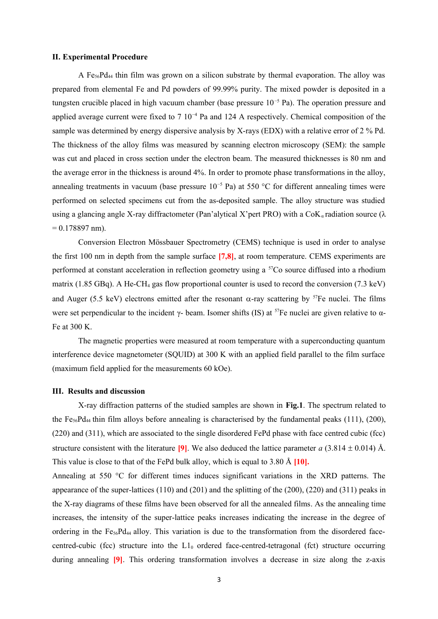# **II. Experimental Procedure**

A Fe56Pd44 thin film was grown on a silicon substrate by thermal evaporation. The alloy was prepared from elemental Fe and Pd powders of 99.99% purity. The mixed powder is deposited in a tungsten crucible placed in high vacuum chamber (base pressure 10−5 Pa). The operation pressure and applied average current were fixed to 7 10<sup>-4</sup> Pa and 124 A respectively. Chemical composition of the sample was determined by energy dispersive analysis by X-rays (EDX) with a relative error of 2 % Pd. The thickness of the alloy films was measured by scanning electron microscopy (SEM): the sample was cut and placed in cross section under the electron beam. The measured thicknesses is 80 nm and the average error in the thickness is around 4%. In order to promote phase transformations in the alloy, annealing treatments in vacuum (base pressure 10<sup>-5</sup> Pa) at 550 °C for different annealing times were performed on selected specimens cut from the as-deposited sample. The alloy structure was studied using a glancing angle X-ray diffractometer (Pan'alytical X'pert PRO) with a  $\text{CoK}_{\alpha}$  radiation source ( $\lambda$ )  $= 0.178897$  nm).

Conversion Electron Mössbauer Spectrometry (CEMS) technique is used in order to analyse the first 100 nm in depth from the sample surface **[7,8]**, at room temperature. CEMS experiments are performed at constant acceleration in reflection geometry using a <sup>57</sup>Co source diffused into a rhodium matrix (1.85 GBq). A He-CH<sub>4</sub> gas flow proportional counter is used to record the conversion (7.3 keV) and Auger (5.5 keV) electrons emitted after the resonant  $\alpha$ -ray scattering by <sup>57</sup>Fe nuclei. The films were set perpendicular to the incident γ- beam. Isomer shifts (IS) at <sup>57</sup>Fe nuclei are given relative to  $\alpha$ -Fe at 300 K.

The magnetic properties were measured at room temperature with a superconducting quantum interference device magnetometer (SQUID) at 300 K with an applied field parallel to the film surface (maximum field applied for the measurements 60 kOe).

### **III. Results and discussion**

X-ray diffraction patterns of the studied samples are shown in **Fig.1**. The spectrum related to the  $Fe<sub>56</sub>Pd<sub>44</sub>$  thin film alloys before annealing is characterised by the fundamental peaks (111), (200), (220) and (311), which are associated to the single disordered FePd phase with face centred cubic (fcc) structure consistent with the literature **[9]**. We also deduced the lattice parameter *a* (3.814  $\pm$  0.014) Å. This value is close to that of the FePd bulk alloy, which is equal to 3.80 Å **[10].** 

Annealing at 550 °C for different times induces significant variations in the XRD patterns. The appearance of the super-lattices (110) and (201) and the splitting of the (200), (220) and (311) peaks in the X-ray diagrams of these films have been observed for all the annealed films. As the annealing time increases, the intensity of the super-lattice peaks increases indicating the increase in the degree of ordering in the  $Fe_{56}Pd_{44}$  alloy. This variation is due to the transformation from the disordered facecentred-cubic (fcc) structure into the  $L1_0$  ordered face-centred-tetragonal (fct) structure occurring during annealing **[9]**. This ordering transformation involves a decrease in size along the z-axis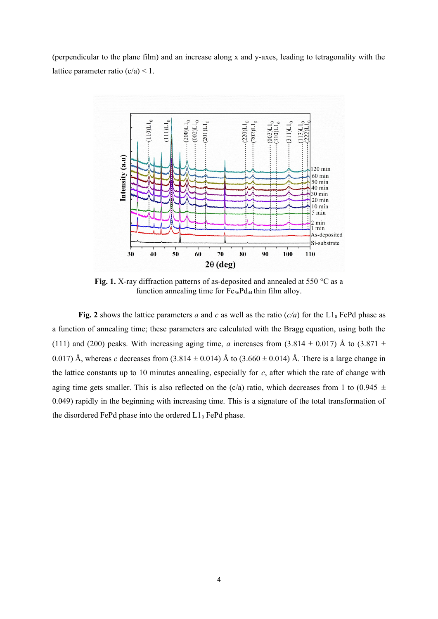(perpendicular to the plane film) and an increase along x and y-axes, leading to tetragonality with the lattice parameter ratio  $(c/a) < 1$ .



Fig. 1. X-ray diffraction patterns of as-deposited and annealed at 550 °C as a function annealing time for  $Fe_{56}Pd_{44}$  thin film alloy.

**Fig. 2** shows the lattice parameters *a* and *c* as well as the ratio  $(c/a)$  for the L1<sub>0</sub> FePd phase as a function of annealing time; these parameters are calculated with the Bragg equation, using both the (111) and (200) peaks. With increasing aging time, *a* increases from (3.814  $\pm$  0.017) Å to (3.871  $\pm$ 0.017) Å, whereas *c* decreases from  $(3.814 \pm 0.014)$  Å to  $(3.660 \pm 0.014)$  Å. There is a large change in the lattice constants up to 10 minutes annealing, especially for *c*, after which the rate of change with aging time gets smaller. This is also reflected on the (c/a) ratio, which decreases from 1 to (0.945  $\pm$ 0.049) rapidly in the beginning with increasing time. This is a signature of the total transformation of the disordered FePd phase into the ordered  $L1_0$  FePd phase.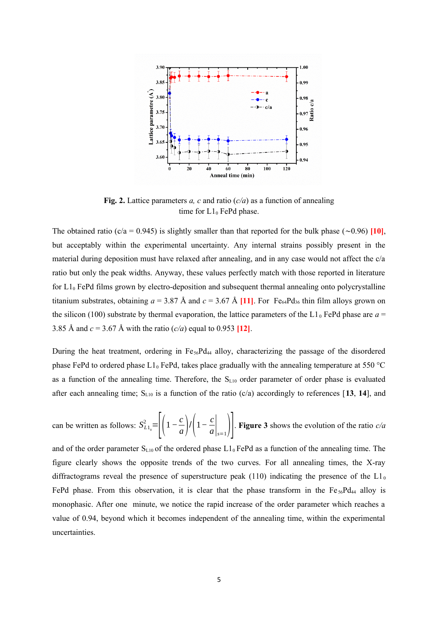

**Fig. 2.** Lattice parameters *a, c* and ratio  $(c/a)$  as a function of annealing time for  $L1_0$  FePd phase.

The obtained ratio (c/a = 0.945) is slightly smaller than that reported for the bulk phase (∼0.96) **[10]**, but acceptably within the experimental uncertainty. Any internal strains possibly present in the material during deposition must have relaxed after annealing, and in any case would not affect the c/a ratio but only the peak widths. Anyway, these values perfectly match with those reported in literature for  $L1_0$  FePd films grown by electro-deposition and subsequent thermal annealing onto polycrystalline titanium substrates, obtaining  $a = 3.87$  Å and  $c = 3.67$  Å [11]. For Fe<sub>64</sub>Pd<sub>36</sub> thin film alloys grown on the silicon (100) substrate by thermal evaporation, the lattice parameters of the L1 $_0$  FePd phase are  $a =$ 3.85 Å and *c* = 3.67 Å with the ratio (*c/a*) equal to 0.953 **[12]**.

During the heat treatment, ordering in  $Fe<sub>56</sub>Pd<sub>44</sub>$  alloy, characterizing the passage of the disordered phase FePd to ordered phase  $L1_0$  FePd, takes place gradually with the annealing temperature at 550 °C as a function of the annealing time. Therefore, the  $S_{L10}$  order parameter of order phase is evaluated after each annealing time;  $S_{L10}$  is a function of the ratio (c/a) accordingly to references [13, 14], and

can be written as follows:  $S_{L1_0}^2 = \left| \left( 1 - \frac{c}{a} \right) \right|$  $\left(\frac{c}{a}\right)$ / $\left(1-\frac{c}{a}\right)$  $\left.\frac{\partial}{\partial a}\right|_{s=1}$ . **Figure 3** shows the evolution of the ratio *c/a* 

and of the order parameter  $S_{L10}$  of the ordered phase  $L1_0$  FePd as a function of the annealing time. The figure clearly shows the opposite trends of the two curves. For all annealing times, the X-ray diffractograms reveal the presence of superstructure peak (110) indicating the presence of the  $L1_0$ FePd phase. From this observation, it is clear that the phase transform in the  $Fe<sub>56</sub>Pd<sub>44</sub>$  alloy is monophasic. After one minute, we notice the rapid increase of the order parameter which reaches a value of 0.94, beyond which it becomes independent of the annealing time, within the experimental uncertainties.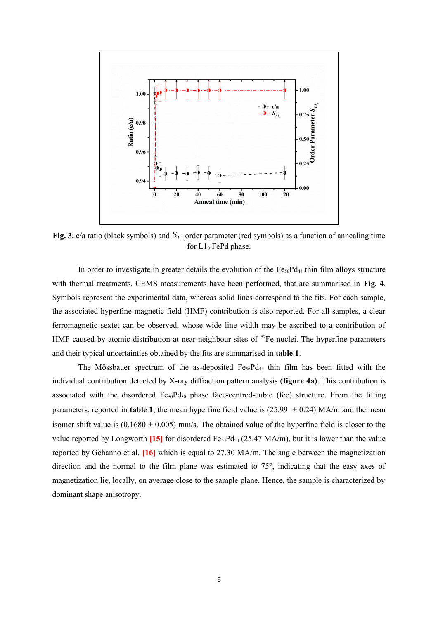

Fig. 3.  $c/a$  ratio (black symbols) and  $S_{L1_0}$ order parameter (red symbols) as a function of annealing time for  $L1_0$  FePd phase.

In order to investigate in greater details the evolution of the  $Fe<sub>56</sub>Pd<sub>44</sub>$  thin film alloys structure with thermal treatments, CEMS measurements have been performed, that are summarised in **Fig. 4**. Symbols represent the experimental data, whereas solid lines correspond to the fits. For each sample, the associated hyperfine magnetic field (HMF) contribution is also reported. For all samples, a clear ferromagnetic sextet can be observed, whose wide line width may be ascribed to a contribution of HMF caused by atomic distribution at near-neighbour sites of  ${}^{57}Fe$  nuclei. The hyperfine parameters and their typical uncertainties obtained by the fits are summarised in **table 1**.

The Mössbauer spectrum of the as-deposited  $Fe<sub>56</sub>Pd<sub>44</sub>$  thin film has been fitted with the individual contribution detected by X-ray diffraction pattern analysis (**figure 4a)**. This contribution is associated with the disordered  $Fe_{50}Pd_{50}$  phase face-centred-cubic (fcc) structure. From the fitting parameters, reported in **table 1**, the mean hyperfine field value is (25.99  $\pm$  0.24) MA/m and the mean isomer shift value is  $(0.1680 \pm 0.005)$  mm/s. The obtained value of the hyperfine field is closer to the value reported by Longworth **[15]** for disordered  $Fe_{50}Pd_{50}$  (25.47 MA/m), but it is lower than the value reported by Gehanno et al. **[16]** which is equal to 27.30 MA/m. The angle between the magnetization direction and the normal to the film plane was estimated to 75°, indicating that the easy axes of magnetization lie, locally, on average close to the sample plane. Hence, the sample is characterized by dominant shape anisotropy.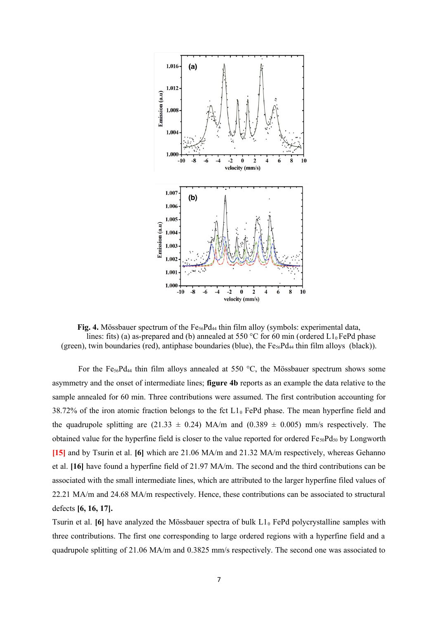

**Fig. 4.** Mössbauer spectrum of the Fe<sub>56</sub>Pd<sub>44</sub> thin film alloy (symbols: experimental data, lines: fits) (a) as-prepared and (b) annealed at 550 °C for 60 min (ordered  $L1_0$  FePd phase (green), twin boundaries (red), antiphase boundaries (blue), the  $Fe_{56}Pd_{44}$  thin film alloys (black)).

For the Fe<sub>56</sub>Pd<sub>44</sub> thin film alloys annealed at 550 °C, the Mössbauer spectrum shows some asymmetry and the onset of intermediate lines; **figure 4b** reports as an example the data relative to the sample annealed for 60 min. Three contributions were assumed. The first contribution accounting for 38.72% of the iron atomic fraction belongs to the fct  $L1_0$  FePd phase. The mean hyperfine field and the quadrupole splitting are (21.33  $\pm$  0.24) MA/m and (0.389  $\pm$  0.005) mm/s respectively. The obtained value for the hyperfine field is closer to the value reported for ordered  $Fe_{50}Pd_{50}$  by Longworth **[15]** and by Tsurin et al. **[6]** which are 21.06 MA/m and 21.32 MA/m respectively, whereas Gehanno et al. **[16]** have found a hyperfine field of 21.97 MA/m. The second and the third contributions can be associated with the small intermediate lines, which are attributed to the larger hyperfine filed values of 22.21 MA/m and 24.68 MA/m respectively. Hence, these contributions can be associated to structural defects **[6, 16, 17].**

Tsurin et al. [6] have analyzed the Mössbauer spectra of bulk L1<sub>0</sub> FePd polycrystalline samples with three contributions. The first one corresponding to large ordered regions with a hyperfine field and a quadrupole splitting of 21.06 MA/m and 0.3825 mm/s respectively. The second one was associated to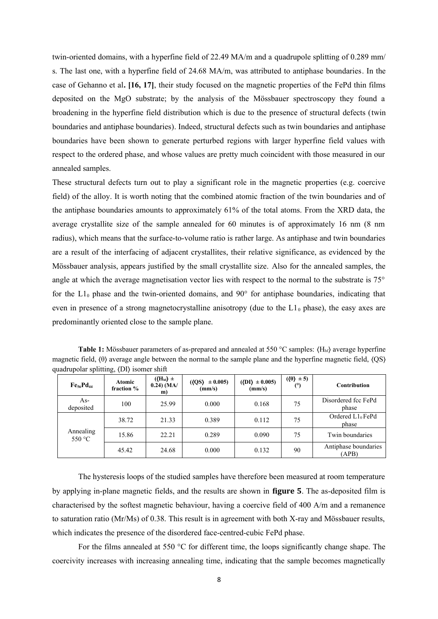twin-oriented domains, with a hyperfine field of 22.49 MA/m and a quadrupole splitting of 0.289 mm/ s. The last one, with a hyperfine field of 24.68 MA/m, was attributed to antiphase boundaries. In the case of Gehanno et al**. [16, 17]**, their study focused on the magnetic properties of the FePd thin films deposited on the MgO substrate; by the analysis of the Mössbauer spectroscopy they found a broadening in the hyperfine field distribution which is due to the presence of structural defects (twin boundaries and antiphase boundaries). Indeed, structural defects such as twin boundaries and antiphase boundaries have been shown to generate perturbed regions with larger hyperfine field values with respect to the ordered phase, and whose values are pretty much coincident with those measured in our annealed samples.

These structural defects turn out to play a significant role in the magnetic properties (e.g. coercive field) of the alloy. It is worth noting that the combined atomic fraction of the twin boundaries and of the antiphase boundaries amounts to approximately 61% of the total atoms. From the XRD data, the average crystallite size of the sample annealed for 60 minutes is of approximately 16 nm (8 nm radius), which means that the surface-to-volume ratio is rather large. As antiphase and twin boundaries are a result of the interfacing of adjacent crystallites, their relative significance, as evidenced by the Mössbauer analysis, appears justified by the small crystallite size. Also for the annealed samples, the angle at which the average magnetisation vector lies with respect to the normal to the substrate is 75° for the  $L1_0$  phase and the twin-oriented domains, and 90 $^{\circ}$  for antiphase boundaries, indicating that even in presence of a strong magnetocrystalline anisotropy (due to the  $L_1$ <sup>0</sup> phase), the easy axes are predominantly oriented close to the sample plane.

**Table 1:** Mössbauer parameters of as-prepared and annealed at 550 °C samples:  $(H<sub>hf</sub>)$  average hyperfine magnetic field, (θ) average angle between the normal to the sample plane and the hyperfine magnetic field, (OS) quadrupolar splitting, 〈DI〉 isomer shift

| Fe <sub>56</sub> Pd <sub>44</sub> | Atomic<br>fraction % | $(\langle H_{\text{hf}} \rangle \pm$<br>$0.24)$ (MA/<br>m) | $(QS) \pm 0.005$<br>(mm/s) | $(\langle DI \rangle \pm 0.005)$<br>(mm/s) | $(\langle \theta \rangle \pm 5)$<br>(°) | Contribution                  |
|-----------------------------------|----------------------|------------------------------------------------------------|----------------------------|--------------------------------------------|-----------------------------------------|-------------------------------|
| As-<br>deposited                  | 100                  | 25.99                                                      | 0.000                      | 0.168                                      | 75                                      | Disordered fcc FePd<br>phase  |
| Annealing<br>550 °C               | 38.72                | 21.33                                                      | 0.389                      | 0.112                                      | 75                                      | Ordered $L1_0$ FePd<br>phase  |
|                                   | 15.86                | 22.21                                                      | 0.289                      | 0.090                                      | 75                                      | Twin boundaries               |
|                                   | 45.42                | 24.68                                                      | 0.000                      | 0.132                                      | 90                                      | Antiphase boundaries<br>(APB) |

The hysteresis loops of the studied samples have therefore been measured at room temperature by applying in-plane magnetic fields, and the results are shown in **figure 5**. The as-deposited film is characterised by the softest magnetic behaviour, having a coercive field of 400 A/m and a remanence to saturation ratio (Mr/Ms) of 0.38. This result is in agreement with both X-ray and Mössbauer results, which indicates the presence of the disordered face-centred-cubic FePd phase.

For the films annealed at 550 °C for different time, the loops significantly change shape. The coercivity increases with increasing annealing time, indicating that the sample becomes magnetically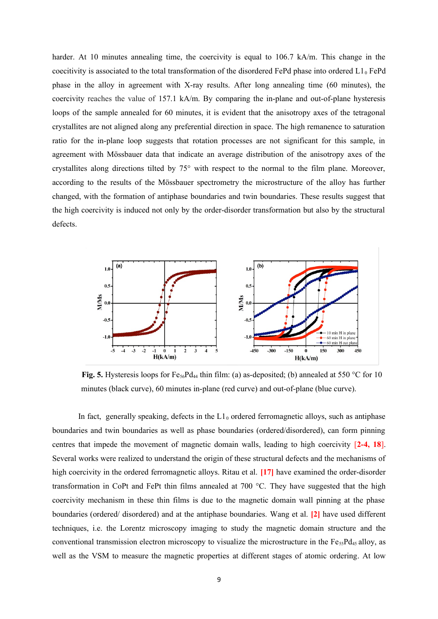harder. At 10 minutes annealing time, the coercivity is equal to 106.7 kA/m. This change in the coecitivity is associated to the total transformation of the disordered FePd phase into ordered  $L1_0$  FePd phase in the alloy in agreement with X-ray results. After long annealing time (60 minutes), the coercivity reaches the value of 157.1 kA/m. By comparing the in-plane and out-of-plane hysteresis loops of the sample annealed for 60 minutes, it is evident that the anisotropy axes of the tetragonal crystallites are not aligned along any preferential direction in space. The high remanence to saturation ratio for the in-plane loop suggests that rotation processes are not significant for this sample, in agreement with Mössbauer data that indicate an average distribution of the anisotropy axes of the crystallites along directions tilted by 75° with respect to the normal to the film plane. Moreover, according to the results of the Mössbauer spectrometry the microstructure of the alloy has further changed, with the formation of antiphase boundaries and twin boundaries. These results suggest that the high coercivity is induced not only by the order-disorder transformation but also by the structural defects.



**Fig. 5.** Hysteresis loops for Fe<sub>56</sub>Pd<sub>44</sub> thin film: (a) as-deposited; (b) annealed at 550 °C for 10 minutes (black curve), 60 minutes in-plane (red curve) and out-of-plane (blue curve).

In fact, generally speaking, defects in the  $L1<sub>0</sub>$  ordered ferromagnetic alloys, such as antiphase boundaries and twin boundaries as well as phase boundaries (ordered/disordered), can form pinning centres that impede the movement of magnetic domain walls, leading to high coercivity [**2-4, 18**]. Several works were realized to understand the origin of these structural defects and the mechanisms of high coercivity in the ordered ferromagnetic alloys. Ritau et al. **[17]** have examined the order-disorder transformation in CoPt and FePt thin films annealed at 700 °C. They have suggested that the high coercivity mechanism in these thin films is due to the magnetic domain wall pinning at the phase boundaries (ordered/ disordered) and at the antiphase boundaries. Wang et al. **[2]** have used different techniques, i.e. the Lorentz microscopy imaging to study the magnetic domain structure and the conventional transmission electron microscopy to visualize the microstructure in the  $Fe_{55}Pd_{45}$  alloy, as well as the VSM to measure the magnetic properties at different stages of atomic ordering. At low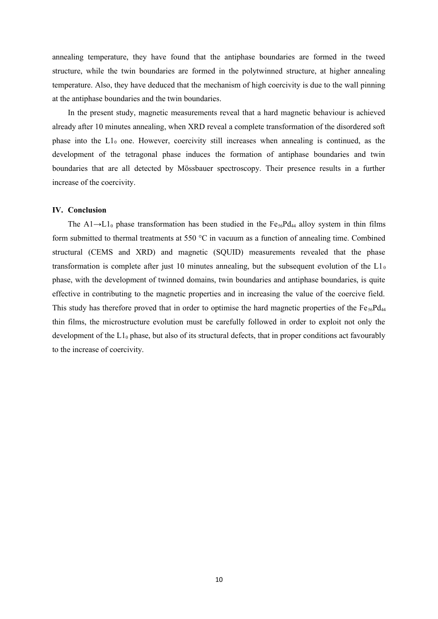annealing temperature, they have found that the antiphase boundaries are formed in the tweed structure, while the twin boundaries are formed in the polytwinned structure, at higher annealing temperature. Also, they have deduced that the mechanism of high coercivity is due to the wall pinning at the antiphase boundaries and the twin boundaries.

In the present study, magnetic measurements reveal that a hard magnetic behaviour is achieved already after 10 minutes annealing, when XRD reveal a complete transformation of the disordered soft phase into the  $L1_0$  one. However, coercivity still increases when annealing is continued, as the development of the tetragonal phase induces the formation of antiphase boundaries and twin boundaries that are all detected by Mössbauer spectroscopy. Their presence results in a further increase of the coercivity.

### **IV. Conclusion**

The A1→L1<sub>0</sub> phase transformation has been studied in the Fe<sub>56</sub>Pd<sub>44</sub> alloy system in thin films form submitted to thermal treatments at 550 °C in vacuum as a function of annealing time. Combined structural (CEMS and XRD) and magnetic (SQUID) measurements revealed that the phase transformation is complete after just 10 minutes annealing, but the subsequent evolution of the  $L_0$ phase, with the development of twinned domains, twin boundaries and antiphase boundaries, is quite effective in contributing to the magnetic properties and in increasing the value of the coercive field. This study has therefore proved that in order to optimise the hard magnetic properties of the  $Fe_{56}Pd_{44}$ thin films, the microstructure evolution must be carefully followed in order to exploit not only the development of the  $L1_0$  phase, but also of its structural defects, that in proper conditions act favourably to the increase of coercivity.